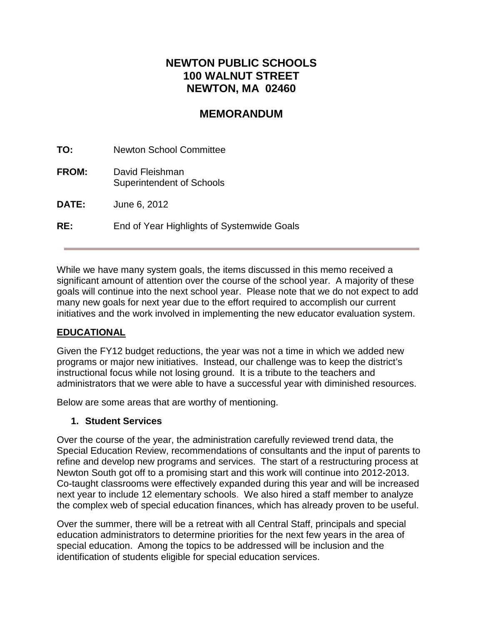# **NEWTON PUBLIC SCHOOLS 100 WALNUT STREET NEWTON, MA 02460**

# **MEMORANDUM**

**TO:** Newton School Committee **FROM:** David Fleishman

Superintendent of Schools

**DATE:** June 6, 2012

**RE:** End of Year Highlights of Systemwide Goals

While we have many system goals, the items discussed in this memo received a significant amount of attention over the course of the school year. A majority of these goals will continue into the next school year. Please note that we do not expect to add many new goals for next year due to the effort required to accomplish our current initiatives and the work involved in implementing the new educator evaluation system.

### **EDUCATIONAL**

Given the FY12 budget reductions, the year was not a time in which we added new programs or major new initiatives. Instead, our challenge was to keep the district's instructional focus while not losing ground. It is a tribute to the teachers and administrators that we were able to have a successful year with diminished resources.

Below are some areas that are worthy of mentioning.

### **1. Student Services**

Over the course of the year, the administration carefully reviewed trend data, the Special Education Review, recommendations of consultants and the input of parents to refine and develop new programs and services. The start of a restructuring process at Newton South got off to a promising start and this work will continue into 2012-2013. Co-taught classrooms were effectively expanded during this year and will be increased next year to include 12 elementary schools. We also hired a staff member to analyze the complex web of special education finances, which has already proven to be useful.

Over the summer, there will be a retreat with all Central Staff, principals and special education administrators to determine priorities for the next few years in the area of special education. Among the topics to be addressed will be inclusion and the identification of students eligible for special education services.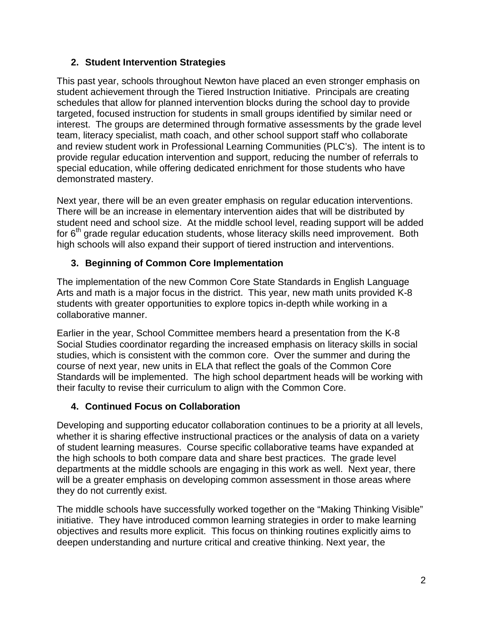## **2. Student Intervention Strategies**

This past year, schools throughout Newton have placed an even stronger emphasis on student achievement through the Tiered Instruction Initiative. Principals are creating schedules that allow for planned intervention blocks during the school day to provide targeted, focused instruction for students in small groups identified by similar need or interest. The groups are determined through formative assessments by the grade level team, literacy specialist, math coach, and other school support staff who collaborate and review student work in Professional Learning Communities (PLC's). The intent is to provide regular education intervention and support, reducing the number of referrals to special education, while offering dedicated enrichment for those students who have demonstrated mastery.

Next year, there will be an even greater emphasis on regular education interventions. There will be an increase in elementary intervention aides that will be distributed by student need and school size. At the middle school level, reading support will be added for  $6<sup>th</sup>$  grade regular education students, whose literacy skills need improvement. Both high schools will also expand their support of tiered instruction and interventions.

## **3. Beginning of Common Core Implementation**

The implementation of the new Common Core State Standards in English Language Arts and math is a major focus in the district. This year, new math units provided K-8 students with greater opportunities to explore topics in-depth while working in a collaborative manner.

Earlier in the year, School Committee members heard a presentation from the K-8 Social Studies coordinator regarding the increased emphasis on literacy skills in social studies, which is consistent with the common core. Over the summer and during the course of next year, new units in ELA that reflect the goals of the Common Core Standards will be implemented. The high school department heads will be working with their faculty to revise their curriculum to align with the Common Core.

## **4. Continued Focus on Collaboration**

Developing and supporting educator collaboration continues to be a priority at all levels, whether it is sharing effective instructional practices or the analysis of data on a variety of student learning measures. Course specific collaborative teams have expanded at the high schools to both compare data and share best practices. The grade level departments at the middle schools are engaging in this work as well. Next year, there will be a greater emphasis on developing common assessment in those areas where they do not currently exist.

The middle schools have successfully worked together on the "Making Thinking Visible" initiative. They have introduced common learning strategies in order to make learning objectives and results more explicit. This focus on thinking routines explicitly aims to deepen understanding and nurture critical and creative thinking. Next year, the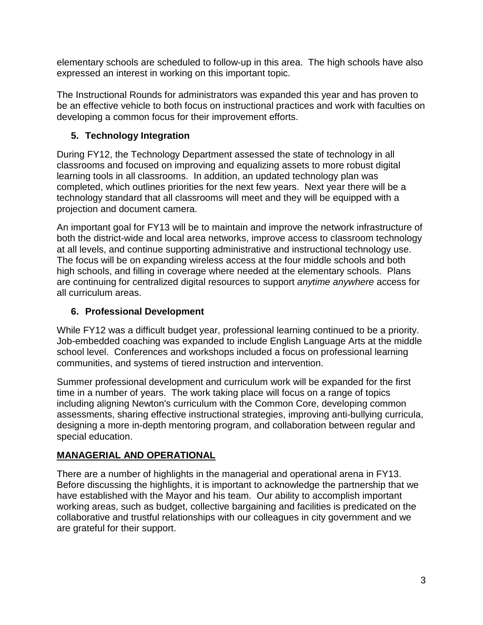elementary schools are scheduled to follow-up in this area. The high schools have also expressed an interest in working on this important topic.

The Instructional Rounds for administrators was expanded this year and has proven to be an effective vehicle to both focus on instructional practices and work with faculties on developing a common focus for their improvement efforts.

# **5. Technology Integration**

During FY12, the Technology Department assessed the state of technology in all classrooms and focused on improving and equalizing assets to more robust digital learning tools in all classrooms. In addition, an updated technology plan was completed, which outlines priorities for the next few years. Next year there will be a technology standard that all classrooms will meet and they will be equipped with a projection and document camera.

An important goal for FY13 will be to maintain and improve the network infrastructure of both the district-wide and local area networks, improve access to classroom technology at all levels, and continue supporting administrative and instructional technology use. The focus will be on expanding wireless access at the four middle schools and both high schools, and filling in coverage where needed at the elementary schools. Plans are continuing for centralized digital resources to support *anytime anywhere* access for all curriculum areas.

# **6. Professional Development**

While FY12 was a difficult budget year, professional learning continued to be a priority. Job-embedded coaching was expanded to include English Language Arts at the middle school level. Conferences and workshops included a focus on professional learning communities, and systems of tiered instruction and intervention.

Summer professional development and curriculum work will be expanded for the first time in a number of years. The work taking place will focus on a range of topics including aligning Newton's curriculum with the Common Core, developing common assessments, sharing effective instructional strategies, improving anti-bullying curricula, designing a more in-depth mentoring program, and collaboration between regular and special education.

# **MANAGERIAL AND OPERATIONAL**

There are a number of highlights in the managerial and operational arena in FY13. Before discussing the highlights, it is important to acknowledge the partnership that we have established with the Mayor and his team. Our ability to accomplish important working areas, such as budget, collective bargaining and facilities is predicated on the collaborative and trustful relationships with our colleagues in city government and we are grateful for their support.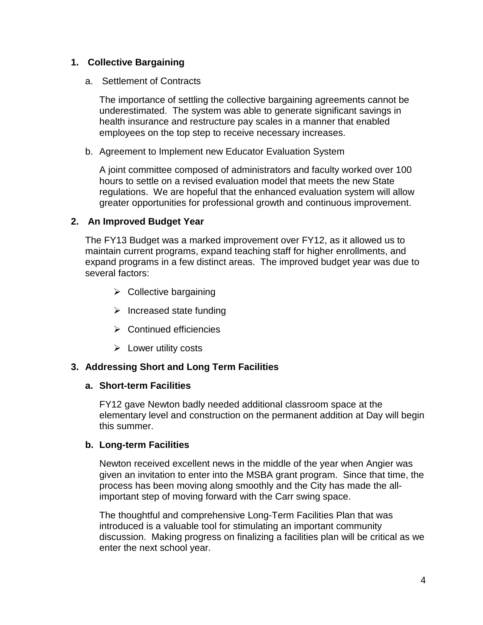### **1. Collective Bargaining**

a. Settlement of Contracts

The importance of settling the collective bargaining agreements cannot be underestimated. The system was able to generate significant savings in health insurance and restructure pay scales in a manner that enabled employees on the top step to receive necessary increases.

b. Agreement to Implement new Educator Evaluation System

A joint committee composed of administrators and faculty worked over 100 hours to settle on a revised evaluation model that meets the new State regulations. We are hopeful that the enhanced evaluation system will allow greater opportunities for professional growth and continuous improvement.

## **2. An Improved Budget Year**

The FY13 Budget was a marked improvement over FY12, as it allowed us to maintain current programs, expand teaching staff for higher enrollments, and expand programs in a few distinct areas. The improved budget year was due to several factors:

- $\triangleright$  Collective bargaining
- $\triangleright$  Increased state funding
- $\triangleright$  Continued efficiencies
- $\triangleright$  Lower utility costs

## **3. Addressing Short and Long Term Facilities**

### **a. Short-term Facilities**

FY12 gave Newton badly needed additional classroom space at the elementary level and construction on the permanent addition at Day will begin this summer.

### **b. Long-term Facilities**

Newton received excellent news in the middle of the year when Angier was given an invitation to enter into the MSBA grant program. Since that time, the process has been moving along smoothly and the City has made the allimportant step of moving forward with the Carr swing space.

The thoughtful and comprehensive Long-Term Facilities Plan that was introduced is a valuable tool for stimulating an important community discussion. Making progress on finalizing a facilities plan will be critical as we enter the next school year.